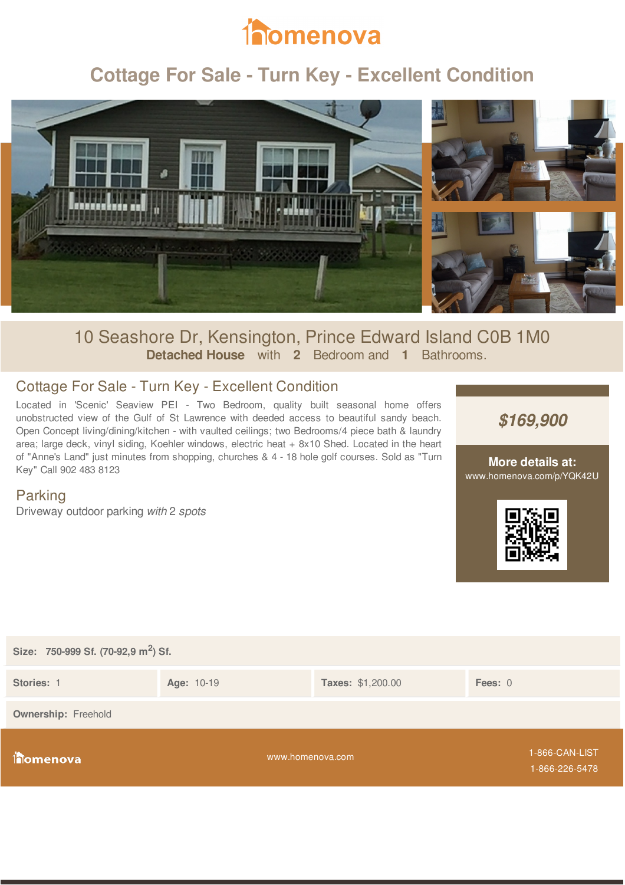

# **Cottage For Sale - Turn Key - Excellent Condition**



## 10 Seashore Dr, Kensington, Prince Edward Island C0B 1M0 **Detached House** with **2** Bedroom and **1** Bathrooms.

## Cottage For Sale - Turn Key - Excellent Condition

Located in 'Scenic' Seaview PEI - Two Bedroom, quality built seasonal home offers unobstructed view of the Gulf of St Lawrence with deeded access to beautiful sandy beach. Open Concept living/dining/kitchen - with vaulted ceilings; two Bedrooms/4 piece bath & laundry area; large deck, vinyl siding, Koehler windows, electric heat + 8x10 Shed. Located in the heart of "Anne's Land" just minutes from shopping, churches & 4 - 18 hole golf courses. Sold as "Turn Key" Call 902 483 8123

*\$169,900*

#### **More details at:** www.homenova.com/p/YQK42U

### Parking

Driveway outdoor parking *with* 2 *spots*



| Size: 750-999 Sf. (70-92,9 m <sup>2</sup> ) Sf. |                  |                          |                                  |  |  |
|-------------------------------------------------|------------------|--------------------------|----------------------------------|--|--|
| Stories: 1                                      | Age: 10-19       | <b>Taxes: \$1,200.00</b> | Fees: 0                          |  |  |
| <b>Ownership: Freehold</b>                      |                  |                          |                                  |  |  |
| <b>filomenova</b>                               | www.homenova.com |                          | 1-866-CAN-LIST<br>1-866-226-5478 |  |  |